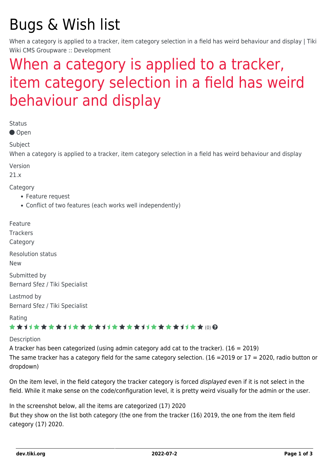# Bugs & Wish list

When a category is applied to a tracker, item category selection in a field has weird behaviour and display | Tiki Wiki CMS Groupware :: Development

## [When a category is applied to a tracker,](https://dev.tiki.org/item7524-When-a-category-is-applied-to-a-tracker-item-category-selection-in-a-field-has-weird-behaviour-and-display) [item category selection in a field has weird](https://dev.tiki.org/item7524-When-a-category-is-applied-to-a-tracker-item-category-selection-in-a-field-has-weird-behaviour-and-display) [behaviour and display](https://dev.tiki.org/item7524-When-a-category-is-applied-to-a-tracker-item-category-selection-in-a-field-has-weird-behaviour-and-display)

Status

● Open

Subject

When a category is applied to a tracker, item category selection in a field has weird behaviour and display

Version

21.x

Category

- Feature request
- Conflict of two features (each works well independently)

Feature

**Trackers** 

Category

Resolution status

New

Submitted by Bernard Sfez / Tiki Specialist

Lastmod by Bernard Sfez / Tiki Specialist

Rating

#### \*\*\*\*\*\*\*\*\*\*\*\*\*\*\*\*\*\*\*\*\*\*\*\*\*\*\*\*\*\*

#### Description

A tracker has been categorized (using admin category add cat to the tracker).  $(16 = 2019)$ The same tracker has a category field for the same category selection. (16 =2019 or 17 = 2020, radio button or dropdown)

On the item level, in the field category the tracker category is forced displayed even if it is not select in the field. While it make sense on the code/configuration level, it is pretty weird visually for the admin or the user.

In the screenshot below, all the items are categorized (17) 2020 But they show on the list both category (the one from the tracker (16) 2019, the one from the item field category (17) 2020.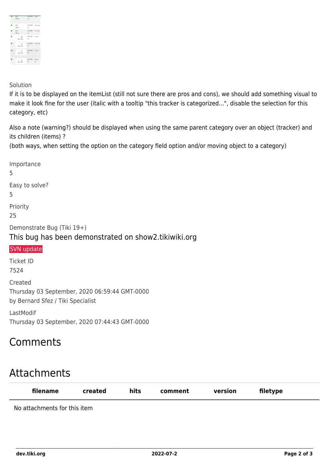

#### Solution

If it is to be displayed on the itemList (still not sure there are pros and cons), we should add something visual to make it look fine for the user (italic with a tooltip "this tracker is categorized...", disable the selection for this category, etc)

Also a note (warning?) should be displayed when using the same parent category over an object (tracker) and its children (items) ?

(both ways, when setting the option on the category field option and/or moving object to a category)

Importance 5 Easy to solve? 5 Priority 25 Demonstrate Bug (Tiki 19+) This bug has been demonstrated on show2.tikiwiki.org [SVN update](#page--1-0) Ticket ID 7524 Created Thursday 03 September, 2020 06:59:44 GMT-0000 by Bernard Sfez / Tiki Specialist LastModif Thursday 03 September, 2020 07:44:43 GMT-0000

### Comments

## Attachments

| filename                     | created | hits | comment | version | filetype |  |
|------------------------------|---------|------|---------|---------|----------|--|
| No attachments for this item |         |      |         |         |          |  |